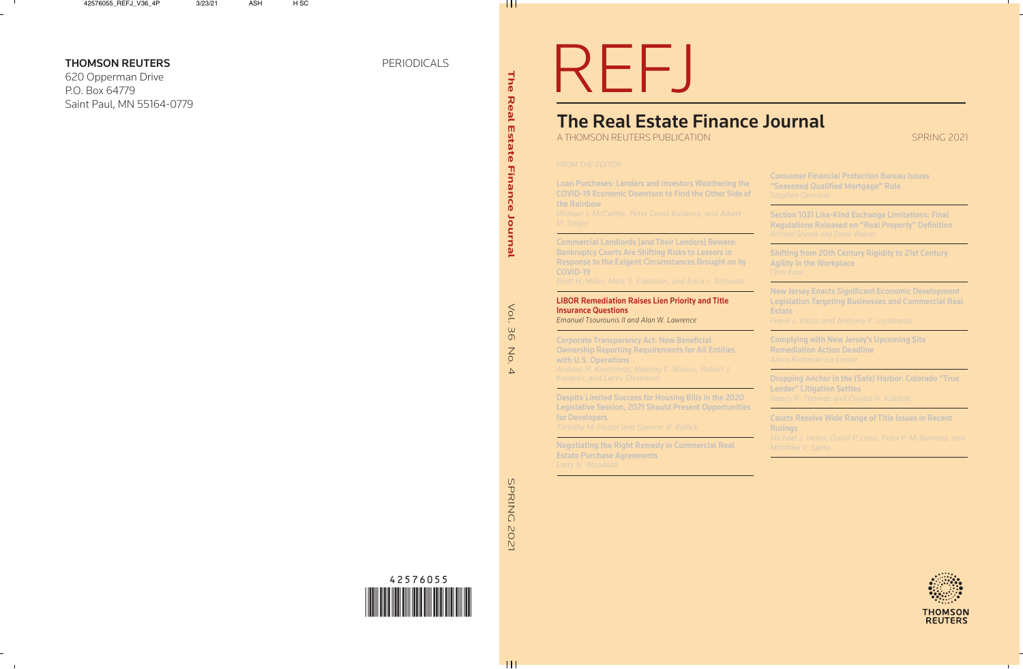Vol.

 $rac{6}{9}$ 

No.

 $\overline{4}$ 

# REFJ

# The Real Estate Finance Journal

A THOMSON REUTERS PUBLICATION

SPRING 2021

# *FROM THE EDITOR*

Loan Purchases: Lenders and Investors Weathering the COVID-19 Economic Downturn to Find the Other Side of the Rainbow

*Michael J. McCarthy, Peter David Ballance, and Albert M. Singer* 

Commercial Landlords (and Their Lenders) Beware: Bankruptcy Courts Are Shifting Risks to Lessors in Response to the Exigent Circumstances Brought on by COVID-19

*Brett H. Miller, Mark S. Edelstein, and Erica J. Richards* 

# LIBOR Remediation Raises Lien Priority and Title Insurance Questions

*Emanuel Tsourounis II and Alan W. Lawrence*

Corporate Transparency Act: New Beneficial Ownership Reporting Requirements for All Entities with U.S. Operations *Andrius R. Kontrimas, Mayling C. Blanco , Robert J. Kovacev, and Lacey Stevenson*

Despite Limited Success for Housing Bills in the 2020 Legislative Session, 2021 Should Present Opportunities for Developers *Timothy M. Hutter and Spencer B. Kallick*

Negotiating the Right Remedy in Commercial Real Estate Purchase Agreements *Larry N. Woodard*

Consumer Financial Protection Bureau Issues "Seasoned Qualified Mortgage" Rule

Section 1031 Like-Kind Exchange Limitations: Final Regulations Released on "Real Property" Definition *Richard Shevak and Derek Weaver*

Shifting from 20th Century Rigidity to 21st Century Agility in the Workplace *Chris Kane*

New Jersey Enacts Significant Economic Development Legislation Targeting Businesses and Commercial Real **Estate** 

*Frank J. Vitolo and Anthony K. Lombard o*

Complying with New Jersey's Upcoming Site Remediation Action Deadline

Dropping Anchor in the (Safe) Harbor: Colorado "True Lender" Litigation Settles *Nancy R. Thomas and Crystal N. Kaldjob*

Courts Resolve Wide Range of Title Issues in Recent **Rulings** 

*Mich ael J. Heller, David P. Leno, Pe ter P. McNamara, and Matthew V. Spero*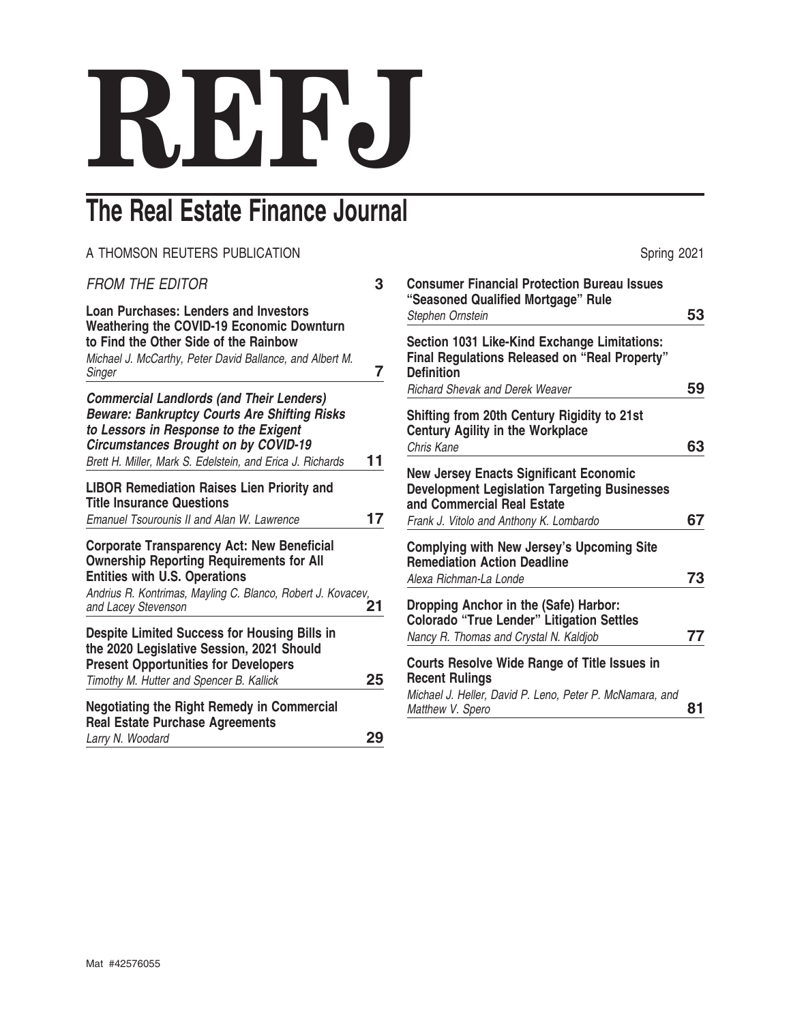# **REFJ**

# **The Real Estate Finance Journal**

# A THOMSON REUTERS PUBLICATION **Spring 2021**

| <b>FROM THE EDITOR</b>                                                                                                                                                                                                                                      | 3  |
|-------------------------------------------------------------------------------------------------------------------------------------------------------------------------------------------------------------------------------------------------------------|----|
| <b>Loan Purchases: Lenders and Investors</b><br><b>Weathering the COVID-19 Economic Downturn</b><br>to Find the Other Side of the Rainbow<br>Michael J. McCarthy, Peter David Ballance, and Albert M.<br>Singer                                             | 7  |
| <b>Commercial Landlords (and Their Lenders)</b><br><b>Beware: Bankruptcy Courts Are Shifting Risks</b><br>to Lessors in Response to the Exigent<br><b>Circumstances Brought on by COVID-19</b><br>Brett H. Miller, Mark S. Edelstein, and Erica J. Richards | 11 |
| <b>LIBOR Remediation Raises Lien Priority and</b><br><b>Title Insurance Questions</b><br>Emanuel Tsourounis II and Alan W. Lawrence                                                                                                                         | 17 |
| <b>Corporate Transparency Act: New Beneficial</b><br><b>Ownership Reporting Requirements for All</b><br><b>Entities with U.S. Operations</b><br>Andrius R. Kontrimas, Mayling C. Blanco, Robert J. Kovacev,<br>and Lacey Stevenson                          | 21 |
| <b>Despite Limited Success for Housing Bills in</b><br>the 2020 Legislative Session, 2021 Should<br><b>Present Opportunities for Developers</b><br>Timothy M. Hutter and Spencer B. Kallick                                                                 | 25 |
| <b>Negotiating the Right Remedy in Commercial</b><br><b>Real Estate Purchase Agreements</b><br>Larry N. Woodard                                                                                                                                             | 29 |

| <b>Consumer Financial Protection Bureau Issues</b><br>"Seasoned Qualified Mortgage" Rule                                                                                      |    |
|-------------------------------------------------------------------------------------------------------------------------------------------------------------------------------|----|
| Stephen Ornstein                                                                                                                                                              | 53 |
| Section 1031 Like-Kind Exchange Limitations:<br>Final Regulations Released on "Real Property"<br><b>Definition</b><br><b>Richard Shevak and Derek Weaver</b>                  | 59 |
|                                                                                                                                                                               |    |
| Shifting from 20th Century Rigidity to 21st<br><b>Century Agility in the Workplace</b>                                                                                        |    |
| Chris Kane                                                                                                                                                                    | 63 |
| <b>New Jersey Enacts Significant Economic</b><br><b>Development Legislation Targeting Businesses</b><br>and Commercial Real Estate<br>Frank J. Vitolo and Anthony K. Lombardo | 67 |
| <b>Complying with New Jersey's Upcoming Site</b>                                                                                                                              |    |
| <b>Remediation Action Deadline</b><br>Alexa Richman-La Londe                                                                                                                  | 73 |
| Dropping Anchor in the (Safe) Harbor:<br><b>Colorado "True Lender" Litigation Settles</b><br>Nancy R. Thomas and Crystal N. Kaldjob                                           | 77 |
| <b>Courts Resolve Wide Range of Title Issues in</b><br><b>Recent Rulings</b><br>Michael J. Heller, David P. Leno, Peter P. McNamara, and<br>Matthew V. Spero                  | 81 |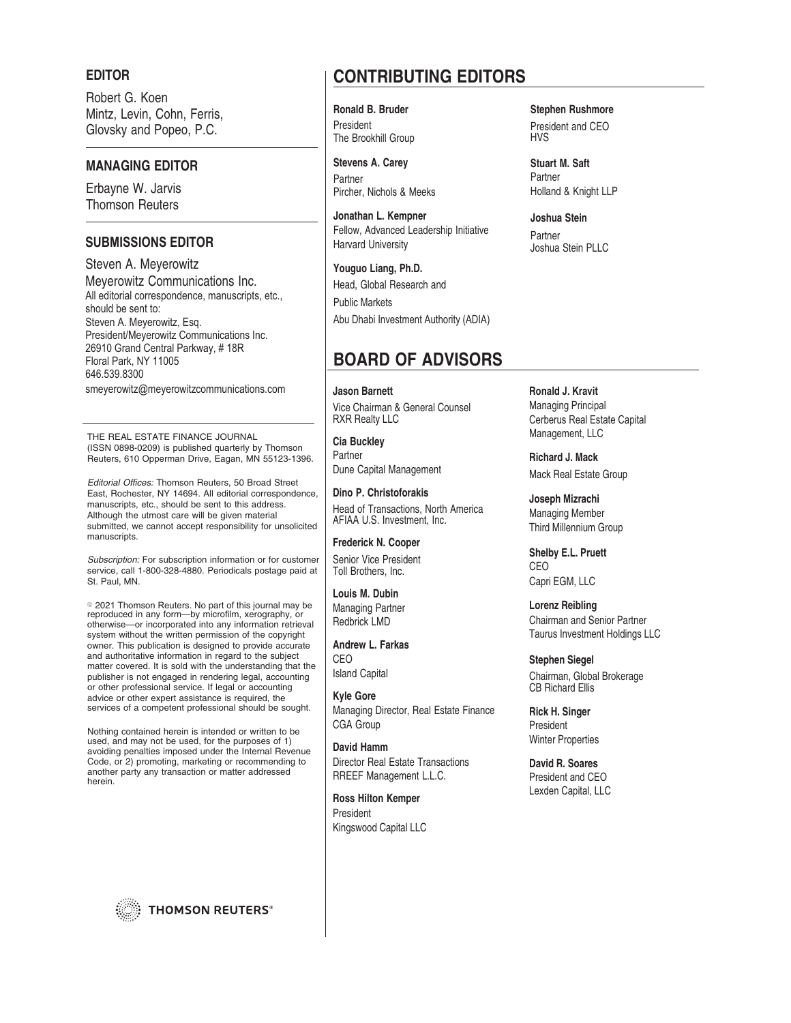#### **EDITOR**

Robert G. Koen Mintz, Levin, Cohn, Ferris, Glovsky and Popeo, P.C.

#### **MANAGING EDITOR**

Erbayne W. Jarvis Thomson Reuters

## **SUBMISSIONS EDITOR**

Steven A. Meyerowitz Meyerowitz Communications Inc. All editorial correspondence, manuscripts, etc., should be sent to: Steven A. Meyerowitz, Esq. President/Meyerowitz Communications Inc. 26910 Grand Central Parkway, #18R Floral Park, NY 11005 646.539.8300

smeyerowitz@meyerowitzcommunications.com

THE REAL ESTATE FINANCE JOURNAL (ISSN 0898-0209) is published quarterly by Thomson Reuters, 610 Opperman Drive, Eagan, MN 55123-1396.

Editorial Offices: Thomson Reuters, 50 Broad Street East, Rochester, NY 14694. All editorial correspondence, manuscripts, etc., should be sent to this address. Although the utmost care will be given material submitted, we cannot accept responsibility for unsolicited manuscripts.

Subscription: For subscription information or for customer service, call 1-800-328-4880. Periodicals postage paid at St. Paul, MN.

© 2021 Thomson Reuters. No part of this journal may be reproduced in any form—by microfilm, xerography, or otherwise—or incorporated into any information retrieval system without the written permission of the copyright owner. This publication is designed to provide accurate and authoritative information in regard to the subject matter covered. It is sold with the understanding that the publisher is not engaged in rendering legal, accounting or other professional service. If legal or accounting advice or other expert assistance is required, the services of a competent professional should be sought.

Nothing contained herein is intended or written to be used, and may not be used, for the purposes of 1) avoiding penalties imposed under the Internal Revenue Code, or 2) promoting, marketing or recommending to another party any transaction or matter addressed herein.

**THOMSON REUTERS®** 

# **CONTRIBUTING EDITORS**

President The Brookhill Group

**Stevens A. Carey** Partner Pircher, Nichols & Meeks

**Jonathan L. Kempner** Fellow, Advanced Leadership Initiative Harvard University

**Youguo Liang, Ph.D.** Head, Global Research and Public Markets Abu Dhabi Investment Authority (ADIA)

# **BOARD OF ADVISORS**

**Jason Barnett** Vice Chairman & General Counsel RXR Realty LLC

**Cia Buckley** Partner Dune Capital Management

**Dino P. Christoforakis** Head of Transactions, North America AFIAA U.S. Investment, Inc.

**Frederick N. Cooper** Senior Vice President Toll Brothers, Inc.

**Louis M. Dubin** Managing Partner Redbrick LMD

**Andrew L. Farkas** CEO Island Capital

**Kyle Gore** Managing Director, Real Estate Finance CGA Group

**David Hamm** Director Real Estate Transactions RREEF Management L.L.C.

**Ross Hilton Kemper** President Kingswood Capital LLC

**Ronald B. Bruder Stephen Rushmore** President and CEO HVS

> **Stuart M. Saft** Partner Holland & Knight LLP

**Joshua Stein** Partner Joshua Stein PLLC

**Ronald J. Kravit** Managing Principal Cerberus Real Estate Capital Management, LLC

**Richard J. Mack** Mack Real Estate Group

**Joseph Mizrachi** Managing Member Third Millennium Group

**Shelby E.L. Pruett** CEO Capri EGM, LLC

**Lorenz Reibling** Chairman and Senior Partner Taurus Investment Holdings LLC

**Stephen Siegel** Chairman, Global Brokerage CB Richard Ellis

**Rick H. Singer** President Winter Properties

**David R. Soares** President and CEO Lexden Capital, LLC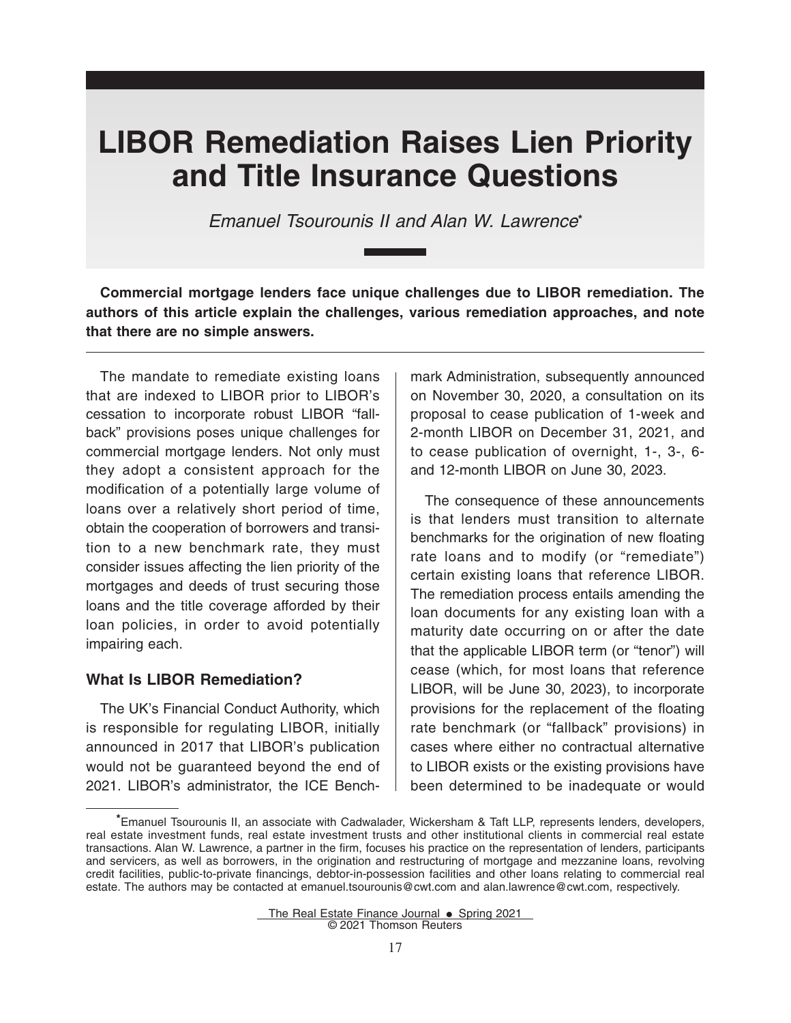# **LIBOR Remediation Raises Lien Priority and Title Insurance Questions**

*Emanuel Tsourounis II and Alan W. Lawrence***\***

**Commercial mortgage lenders face unique challenges due to LIBOR remediation. The authors of this article explain the challenges, various remediation approaches, and note that there are no simple answers.**

The mandate to remediate existing loans that are indexed to LIBOR prior to LIBOR's cessation to incorporate robust LIBOR "fallback" provisions poses unique challenges for commercial mortgage lenders. Not only must they adopt a consistent approach for the modification of a potentially large volume of loans over a relatively short period of time, obtain the cooperation of borrowers and transition to a new benchmark rate, they must consider issues affecting the lien priority of the mortgages and deeds of trust securing those loans and the title coverage afforded by their loan policies, in order to avoid potentially impairing each.

### **What Is LIBOR Remediation?**

The UK's Financial Conduct Authority, which is responsible for regulating LIBOR, initially announced in 2017 that LIBOR's publication would not be guaranteed beyond the end of 2021. LIBOR's administrator, the ICE Benchmark Administration, subsequently announced on November 30, 2020, a consultation on its proposal to cease publication of 1-week and 2-month LIBOR on December 31, 2021, and to cease publication of overnight, 1-, 3-, 6 and 12-month LIBOR on June 30, 2023.

The consequence of these announcements is that lenders must transition to alternate benchmarks for the origination of new floating rate loans and to modify (or "remediate") certain existing loans that reference LIBOR. The remediation process entails amending the loan documents for any existing loan with a maturity date occurring on or after the date that the applicable LIBOR term (or "tenor") will cease (which, for most loans that reference LIBOR, will be June 30, 2023), to incorporate provisions for the replacement of the floating rate benchmark (or "fallback" provisions) in cases where either no contractual alternative to LIBOR exists or the existing provisions have been determined to be inadequate or would

**<sup>\*</sup>**Emanuel Tsourounis II, an associate with Cadwalader, Wickersham & Taft LLP, represents lenders, developers, real estate investment funds, real estate investment trusts and other institutional clients in commercial real estate transactions. Alan W. Lawrence, a partner in the firm, focuses his practice on the representation of lenders, participants and servicers, as well as borrowers, in the origination and restructuring of mortgage and mezzanine loans, revolving credit facilities, public-to-private financings, debtor-in-possession facilities and other loans relating to commercial real estate. The authors may be contacted at emanuel.tsourounis@cwt.com and alan.lawrence@cwt.com, respectively.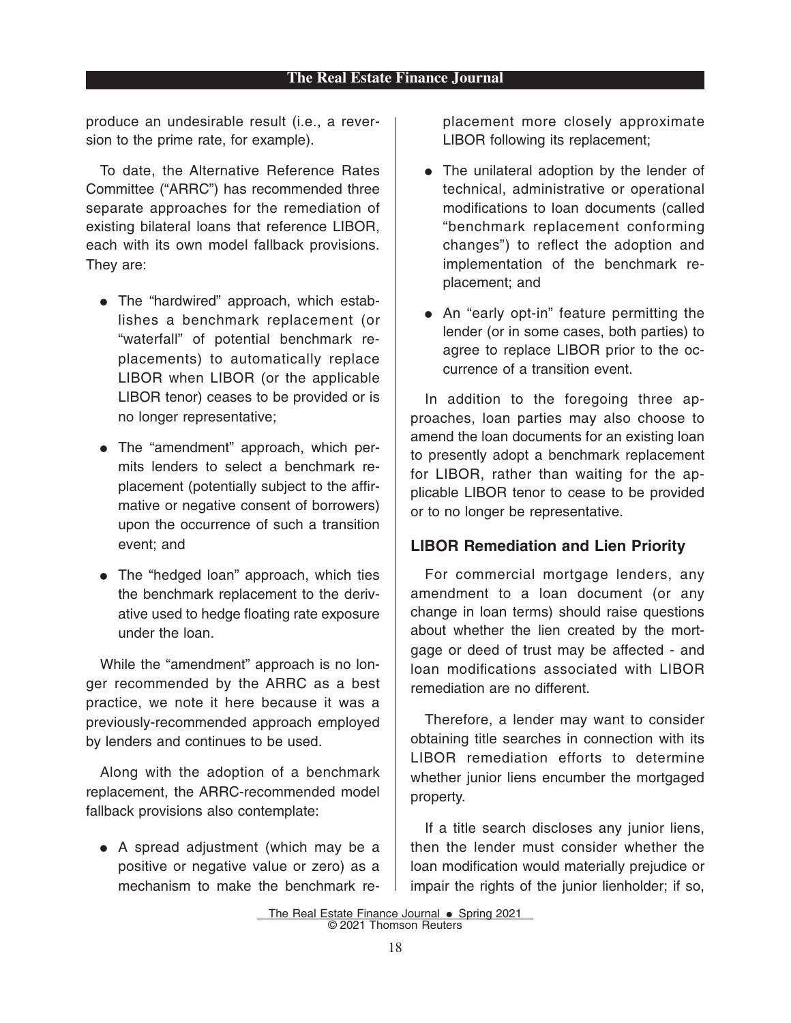#### **The Real Estate Finance Journal**

produce an undesirable result (i.e., a reversion to the prime rate, for example).

To date, the Alternative Reference Rates Committee ("ARRC") has recommended three separate approaches for the remediation of existing bilateral loans that reference LIBOR, each with its own model fallback provisions. They are:

- The "hardwired" approach, which establishes a benchmark replacement (or "waterfall" of potential benchmark replacements) to automatically replace LIBOR when LIBOR (or the applicable LIBOR tenor) ceases to be provided or is no longer representative;
- The "amendment" approach, which permits lenders to select a benchmark replacement (potentially subject to the affirmative or negative consent of borrowers) upon the occurrence of such a transition event; and
- The "hedged loan" approach, which ties the benchmark replacement to the derivative used to hedge floating rate exposure under the loan.

While the "amendment" approach is no longer recommended by the ARRC as a best practice, we note it here because it was a previously-recommended approach employed by lenders and continues to be used.

Along with the adoption of a benchmark replacement, the ARRC-recommended model fallback provisions also contemplate:

• A spread adjustment (which may be a positive or negative value or zero) as a mechanism to make the benchmark replacement more closely approximate LIBOR following its replacement;

- The unilateral adoption by the lender of technical, administrative or operational modifications to loan documents (called "benchmark replacement conforming changes") to reflect the adoption and implementation of the benchmark replacement; and
- An "early opt-in" feature permitting the lender (or in some cases, both parties) to agree to replace LIBOR prior to the occurrence of a transition event.

In addition to the foregoing three approaches, loan parties may also choose to amend the loan documents for an existing loan to presently adopt a benchmark replacement for LIBOR, rather than waiting for the applicable LIBOR tenor to cease to be provided or to no longer be representative.

## **LIBOR Remediation and Lien Priority**

For commercial mortgage lenders, any amendment to a loan document (or any change in loan terms) should raise questions about whether the lien created by the mortgage or deed of trust may be affected - and loan modifications associated with LIBOR remediation are no different.

Therefore, a lender may want to consider obtaining title searches in connection with its LIBOR remediation efforts to determine whether junior liens encumber the mortgaged property.

If a title search discloses any junior liens, then the lender must consider whether the loan modification would materially prejudice or impair the rights of the junior lienholder; if so,

The Real Estate Finance Journal  $\bullet$  Spring 2021 © 2021 Thomson Reuters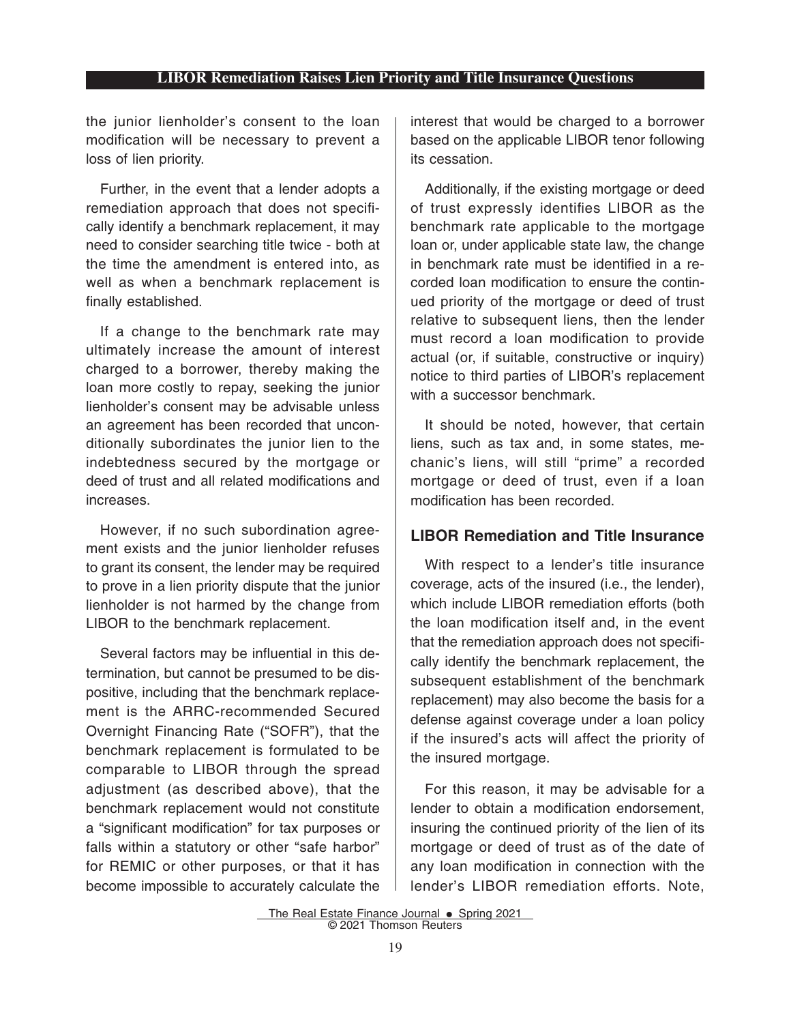## **LIBOR Remediation Raises Lien Priority and Title Insurance Questions**

the junior lienholder's consent to the loan modification will be necessary to prevent a loss of lien priority.

Further, in the event that a lender adopts a remediation approach that does not specifically identify a benchmark replacement, it may need to consider searching title twice - both at the time the amendment is entered into, as well as when a benchmark replacement is finally established.

If a change to the benchmark rate may ultimately increase the amount of interest charged to a borrower, thereby making the loan more costly to repay, seeking the junior lienholder's consent may be advisable unless an agreement has been recorded that unconditionally subordinates the junior lien to the indebtedness secured by the mortgage or deed of trust and all related modifications and increases.

However, if no such subordination agreement exists and the junior lienholder refuses to grant its consent, the lender may be required to prove in a lien priority dispute that the junior lienholder is not harmed by the change from LIBOR to the benchmark replacement.

Several factors may be influential in this determination, but cannot be presumed to be dispositive, including that the benchmark replacement is the ARRC-recommended Secured Overnight Financing Rate ("SOFR"), that the benchmark replacement is formulated to be comparable to LIBOR through the spread adjustment (as described above), that the benchmark replacement would not constitute a "significant modification" for tax purposes or falls within a statutory or other "safe harbor" for REMIC or other purposes, or that it has become impossible to accurately calculate the interest that would be charged to a borrower based on the applicable LIBOR tenor following its cessation.

Additionally, if the existing mortgage or deed of trust expressly identifies LIBOR as the benchmark rate applicable to the mortgage loan or, under applicable state law, the change in benchmark rate must be identified in a recorded loan modification to ensure the continued priority of the mortgage or deed of trust relative to subsequent liens, then the lender must record a loan modification to provide actual (or, if suitable, constructive or inquiry) notice to third parties of LIBOR's replacement with a successor benchmark.

It should be noted, however, that certain liens, such as tax and, in some states, mechanic's liens, will still "prime" a recorded mortgage or deed of trust, even if a loan modification has been recorded.

## **LIBOR Remediation and Title Insurance**

With respect to a lender's title insurance coverage, acts of the insured (i.e., the lender), which include LIBOR remediation efforts (both the loan modification itself and, in the event that the remediation approach does not specifically identify the benchmark replacement, the subsequent establishment of the benchmark replacement) may also become the basis for a defense against coverage under a loan policy if the insured's acts will affect the priority of the insured mortgage.

For this reason, it may be advisable for a lender to obtain a modification endorsement, insuring the continued priority of the lien of its mortgage or deed of trust as of the date of any loan modification in connection with the lender's LIBOR remediation efforts. Note,